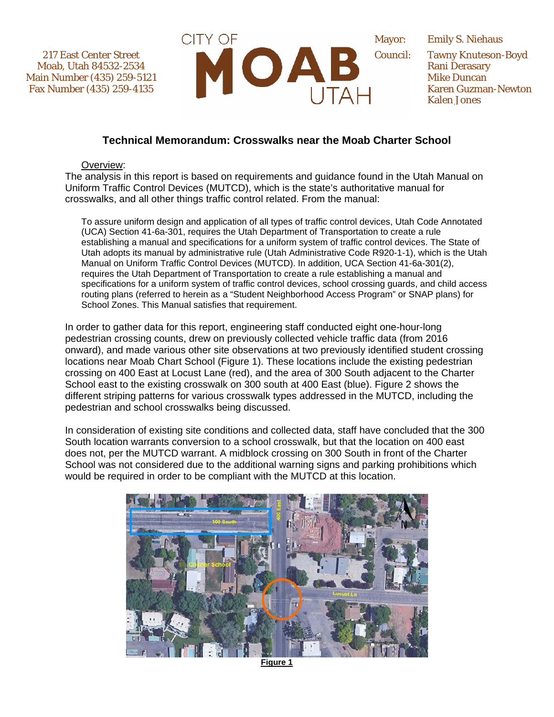217 East Center Street Moab, Utah 84532-2534 Main Number (435) 259-5121 Fax Number (435) 259-4135



Emily S. Niehaus Tawny Knuteson-Boyd Rani Derasary Mike Duncan Karen Guzman-Newton Kalen Jones

## **Technical Memorandum: Crosswalks near the Moab Charter School**

Overview:

The analysis in this report is based on requirements and guidance found in the Utah Manual on Uniform Traffic Control Devices (MUTCD), which is the state's authoritative manual for crosswalks, and all other things traffic control related. From the manual:

To assure uniform design and application of all types of traffic control devices, Utah Code Annotated (UCA) Section 41-6a-301, requires the Utah Department of Transportation to create a rule establishing a manual and specifications for a uniform system of traffic control devices. The State of Utah adopts its manual by administrative rule (Utah Administrative Code R920-1-1), which is the Utah Manual on Uniform Traffic Control Devices (MUTCD). In addition, UCA Section 41-6a-301(2), requires the Utah Department of Transportation to create a rule establishing a manual and specifications for a uniform system of traffic control devices, school crossing guards, and child access routing plans (referred to herein as a "Student Neighborhood Access Program" or SNAP plans) for School Zones. This Manual satisfies that requirement.

In order to gather data for this report, engineering staff conducted eight one-hour-long pedestrian crossing counts, drew on previously collected vehicle traffic data (from 2016 onward), and made various other site observations at two previously identified student crossing locations near Moab Chart School (Figure 1). These locations include the existing pedestrian crossing on 400 East at Locust Lane (red), and the area of 300 South adjacent to the Charter School east to the existing crosswalk on 300 south at 400 East (blue). Figure 2 shows the different striping patterns for various crosswalk types addressed in the MUTCD, including the pedestrian and school crosswalks being discussed.

In consideration of existing site conditions and collected data, staff have concluded that the 300 South location warrants conversion to a school crosswalk, but that the location on 400 east does not, per the MUTCD warrant. A midblock crossing on 300 South in front of the Charter School was not considered due to the additional warning signs and parking prohibitions which would be required in order to be compliant with the MUTCD at this location.



**Figure 1**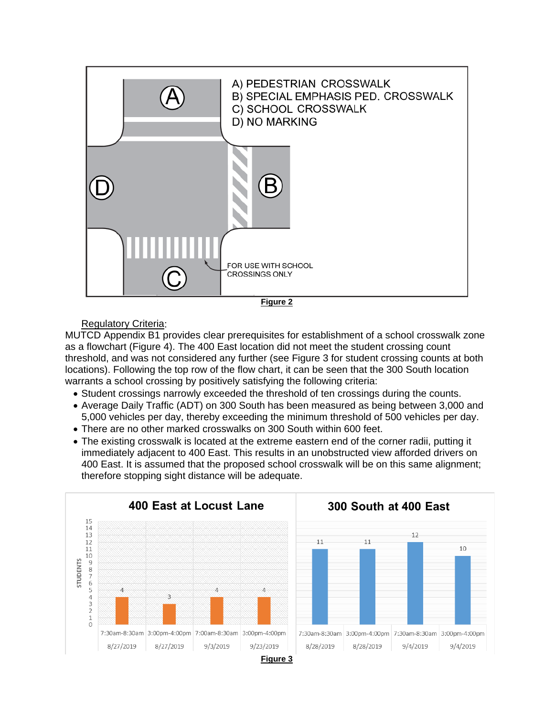

## Regulatory Criteria:

MUTCD Appendix B1 provides clear prerequisites for establishment of a school crosswalk zone as a flowchart (Figure 4). The 400 East location did not meet the student crossing count threshold, and was not considered any further (see Figure 3 for student crossing counts at both locations). Following the top row of the flow chart, it can be seen that the 300 South location warrants a school crossing by positively satisfying the following criteria:

- Student crossings narrowly exceeded the threshold of ten crossings during the counts.
- Average Daily Traffic (ADT) on 300 South has been measured as being between 3,000 and 5,000 vehicles per day, thereby exceeding the minimum threshold of 500 vehicles per day.
- There are no other marked crosswalks on 300 South within 600 feet.
- The existing crosswalk is located at the extreme eastern end of the corner radii, putting it immediately adjacent to 400 East. This results in an unobstructed view afforded drivers on 400 East. It is assumed that the proposed school crosswalk will be on this same alignment; therefore stopping sight distance will be adequate.